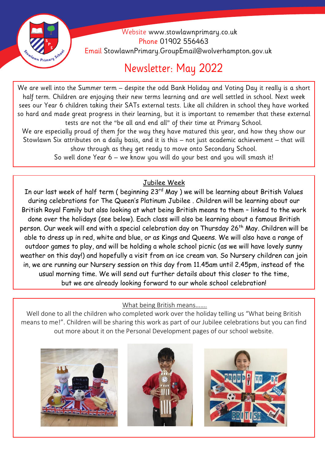

 Website [www.stowlawnprimary.co.uk](http://www.stowlawnprimary.co.uk/)  Phone 01902 556463 Email StowlawnPrimary.GroupEmail@wolverhampton.gov.uk

# Newsletter: May 2022

**Welecome**  half term. Children are enjoying their new terms learning and are well settled in school. Next week We are well into the Summer term – despite the odd Bank Holiday and Voting Day it really is a short sees our Year 6 children taking their SATs external tests. Like all children in school they have worked so hard and made great progress in their learning, but it is important to remember that these external tests are not the "be all and end all" of their time at Primary School.

We are especially proud of them for the way they have matured this year, and how they show our Stowlawn Six attributes on a daily basis, and it is this – not just academic achievement – that will show through as they get ready to move onto Secondary School.

So well done Year 6 – we know you will do your best and you will smash it!

## Jubilee Week

In our last week of half term ( beginning 23<sup>rd</sup> May ) we will be learning about British Values during celebrations for The Queen's Platinum Jubilee . Children will be learning about our British Royal Family but also looking at what being British means to them – linked to the work done over the holidays (see below). Each class will also be learning about a famous British person. Our week will end with a special celebration day on Thursday 26<sup>th</sup> May. Children will be able to dress up in red, white and blue, or as Kings and Queens. We will also have a range of outdoor games to play, and will be holding a whole school picnic (as we will have lovely sunny weather on this day!) and hopefully a visit from an ice cream van. So Nursery children can join in, we are running our Nursery session on this day from 11.45am until 2.45pm, instead of the usual morning time. We will send out further details about this closer to the time, but we are already looking forward to our whole school celebration!

What being British means…….

Well done to all the children who completed work over the holiday telling us "What being British" means to me!". Children will be sharing this work as part of our Jubilee celebrations but you can find out more about it on the Personal Development pages of our school website.